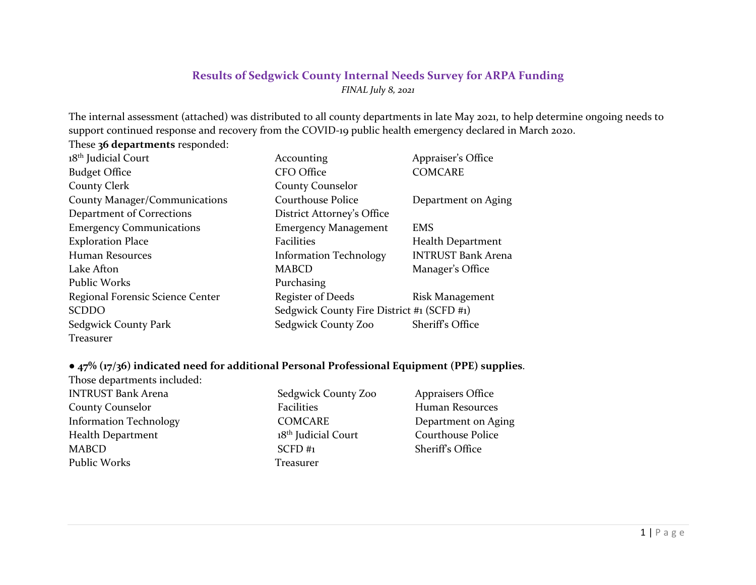## **Results of Sedgwick County Internal Needs Survey for ARPA Funding** *FINAL July 8, 2021*

The internal assessment (attached) was distributed to all county departments in late May 2021, to help determine ongoing needs to support continued response and recovery from the COVID-19 public health emergency declared in March 2020.

These **36 departments** responded:

| 18 <sup>th</sup> Judicial Court  | Accounting                                 | Appraiser's Office        |
|----------------------------------|--------------------------------------------|---------------------------|
| <b>Budget Office</b>             | CFO Office                                 | <b>COMCARE</b>            |
| <b>County Clerk</b>              | <b>County Counselor</b>                    |                           |
| County Manager/Communications    | <b>Courthouse Police</b>                   | Department on Aging       |
| Department of Corrections        | District Attorney's Office                 |                           |
| <b>Emergency Communications</b>  | <b>Emergency Management</b>                | <b>EMS</b>                |
| <b>Exploration Place</b>         | <b>Facilities</b>                          | Health Department         |
| Human Resources                  | <b>Information Technology</b>              | <b>INTRUST Bank Arena</b> |
| Lake Afton                       | <b>MABCD</b>                               | Manager's Office          |
| Public Works                     | Purchasing                                 |                           |
| Regional Forensic Science Center | <b>Register of Deeds</b>                   | Risk Management           |
| <b>SCDDO</b>                     | Sedgwick County Fire District #1 (SCFD #1) |                           |
| Sedgwick County Park             | Sedgwick County Zoo                        | Sheriff's Office          |
| Treasurer                        |                                            |                           |

#### **● 47% (17/36) indicated need for additional Personal Professional Equipment (PPE) supplies**.

| Sedgwick County Zoo             | <b>Appraisers Office</b> |
|---------------------------------|--------------------------|
| Facilities                      | Human Resources          |
| <b>COMCARE</b>                  | Department on Aging      |
| 18 <sup>th</sup> Judicial Court | <b>Courthouse Police</b> |
| $SCFD$ #1                       | Sheriff's Office         |
| Treasurer                       |                          |
|                                 |                          |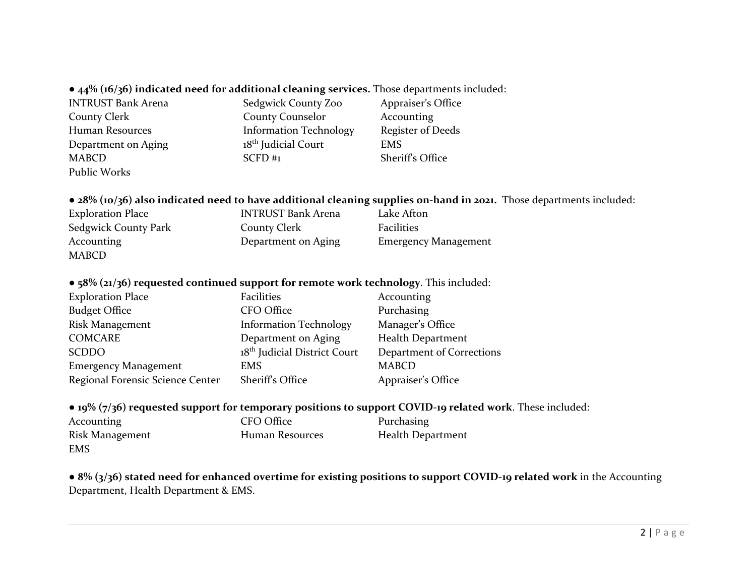## ● **44% (16/36) indicated need for additional cleaning services.** Those departments included:

INTRUST Bank Arena Sedgwick County Zoo Appraiser's Office County Clerk County Counselor Accounting Human Resources **Information Technology** Register of Deeds Department on Aging 18<sup>th</sup> Judicial Court EMS MABCD SCFD #1 Sheriff's Office Public Works

### **● 28% (10/36) also indicated need to have additional cleaning supplies on-hand in 2021.** Those departments included:

| <b>Exploration Place</b> | <b>INTRUST Bank Arena</b> | Lake Afton                  |
|--------------------------|---------------------------|-----------------------------|
| Sedgwick County Park     | <b>County Clerk</b>       | <b>Facilities</b>           |
| <b>Accounting</b>        | Department on Aging       | <b>Emergency Management</b> |
| MABCD                    |                           |                             |

#### ● **58% (21/36) requested continued support for remote work technology**. This included:

| <b>Exploration Place</b>         | Facilities                               | Accounting                |
|----------------------------------|------------------------------------------|---------------------------|
| <b>Budget Office</b>             | CFO Office                               | Purchasing                |
| Risk Management                  | <b>Information Technology</b>            | Manager's Office          |
| <b>COMCARE</b>                   | Department on Aging                      | <b>Health Department</b>  |
| <b>SCDDO</b>                     | 18 <sup>th</sup> Judicial District Court | Department of Corrections |
| <b>Emergency Management</b>      | <b>EMS</b>                               | <b>MABCD</b>              |
| Regional Forensic Science Center | Sheriff's Office                         | Appraiser's Office        |

#### ● **19% (7/36) requested support for temporary positions to support COVID-19 related work**. These included:

| Accounting      | CFO Office      | Purchasing        |
|-----------------|-----------------|-------------------|
| Risk Management | Human Resources | Health Department |
| <b>EMS</b>      |                 |                   |

● **8% (3/36) stated need for enhanced overtime for existing positions to support COVID-19 related work** in the Accounting Department, Health Department & EMS.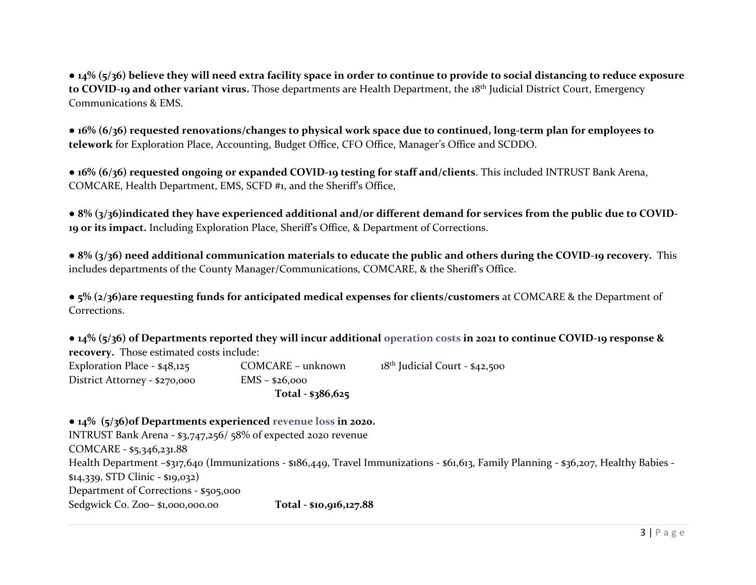● **14% (5/36) believe they will need extra facility space in order to continue to provide to social distancing to reduce exposure to COVID-19 and other variant virus.** Those departments are Health Department, the 18th Judicial District Court, Emergency Communications & EMS.

● **16% (6/36) requested renovations/changes to physical work space due to continued, long-term plan for employees to telework** for Exploration Place, Accounting, Budget Office, CFO Office, Manager's Office and SCDDO.

**● 16% (6/36) requested ongoing or expanded COVID-19 testing for staff and/clients**. This included INTRUST Bank Arena, COMCARE, Health Department, EMS, SCFD #1, and the Sheriff's Office,

● **8% (3/36)indicated they have experienced additional and/or different demand for services from the public due to COVID-19 or its impact.** Including Exploration Place, Sheriff's Office, & Department of Corrections.

● **8% (3/36) need additional communication materials to educate the public and others during the COVID-19 recovery.** This includes departments of the County Manager/Communications, COMCARE, & the Sheriff's Office.

● **5% (2/36)are requesting funds for anticipated medical expenses for clients/customers** at COMCARE & the Department of Corrections.

● **14% (5/36) of Departments reported they will incur additional operation costs in 2021 to continue COVID-19 response & recovery.** Those estimated costs include:

| Exploration Place - \$48,125  | COMCARE - unknown  | 18 <sup>th</sup> Judicial Court - \$42,500 |
|-------------------------------|--------------------|--------------------------------------------|
| District Attorney - \$270,000 | $EMS - $26,000$    |                                            |
|                               | Total - $$386,625$ |                                            |

● **14% (5/36)of Departments experienced revenue loss in 2020.** INTRUST Bank Arena - \$3,747,256/ 58% of expected 2020 revenue COMCARE - \$5,346,231.88 Health Department –\$317,640 (Immunizations - \$186,449, Travel Immunizations - \$61,613, Family Planning - \$36,207, Healthy Babies - \$14,339, STD Clinic - \$19,032) Department of Corrections - \$505,000 Sedgwick Co. Zoo– \$1,000,000.00 **Total - \$10,916,127.88**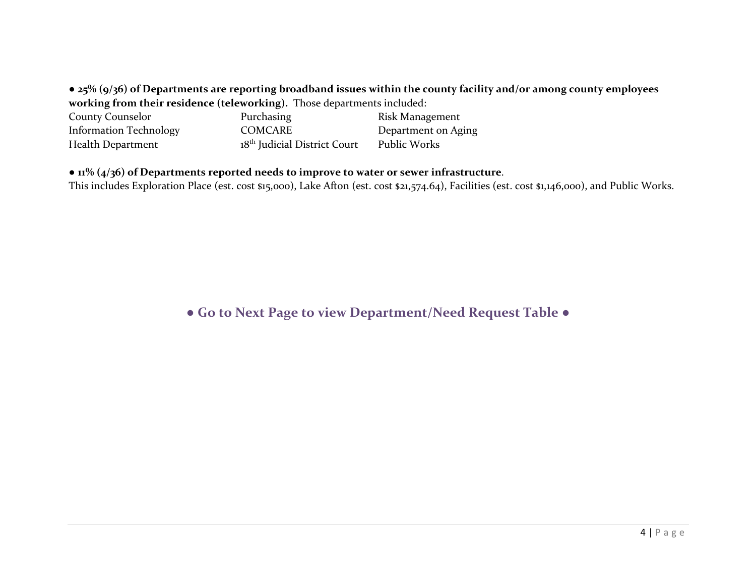● **25% (9/36) of Departments are reporting broadband issues within the county facility and/or among county employees working from their residence (teleworking).** Those departments included:

| <b>County Counselor</b>       | Purchasing                               | Risk Management     |
|-------------------------------|------------------------------------------|---------------------|
| <b>Information Technology</b> | COMCARE                                  | Department on Aging |
| Health Department             | 18 <sup>th</sup> Judicial District Court | Public Works        |

## ● **11% (4/36) of Departments reported needs to improve to water or sewer infrastructure**.

This includes Exploration Place (est. cost \$15,000), Lake Afton (est. cost \$21,574.64), Facilities (est. cost \$1,146,000), and Public Works.

# **● Go to Next Page to view Department/Need Request Table ●**